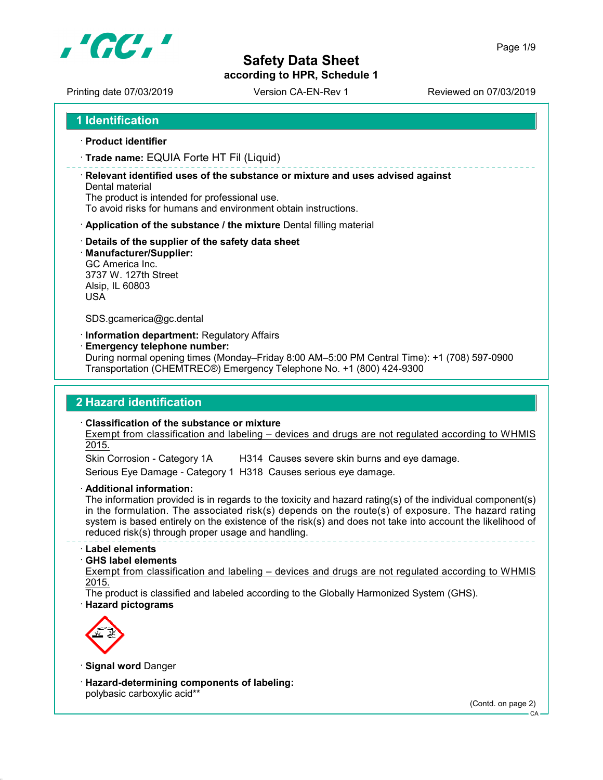

according to HPR, Schedule 1

Page 1/9

Printing date 07/03/2019 Version CA-EN-Rev 1 Printing date 07/03/2019

1 Identification

· Product identifier

· Trade name: EQUIA Forte HT Fil (Liquid)

· Relevant identified uses of the substance or mixture and uses advised against Dental material

The product is intended for professional use.

To avoid risks for humans and environment obtain instructions.

- · Application of the substance / the mixture Dental filling material
- · Details of the supplier of the safety data sheet
- · Manufacturer/Supplier:

GC America Inc. 3737 W. 127th Street Alsip, IL 60803 USA

SDS.gcamerica@gc.dental

· Information department: Regulatory Affairs

· Emergency telephone number:

During normal opening times (Monday–Friday 8:00 AM–5:00 PM Central Time): +1 (708) 597-0900 Transportation (CHEMTREC®) Emergency Telephone No. +1 (800) 424-9300

### 2 Hazard identification

· Classification of the substance or mixture

Exempt from classification and labeling – devices and drugs are not regulated according to WHMIS 2015.

Skin Corrosion - Category 1A H314 Causes severe skin burns and eye damage.

Serious Eye Damage - Category 1 H318 Causes serious eye damage.

· Additional information:

The information provided is in regards to the toxicity and hazard rating(s) of the individual component(s) in the formulation. The associated risk(s) depends on the route(s) of exposure. The hazard rating system is based entirely on the existence of the risk(s) and does not take into account the likelihood of reduced risk(s) through proper usage and handling.

#### · Label elements

#### · GHS label elements

Exempt from classification and labeling – devices and drugs are not regulated according to WHMIS 2015.

The product is classified and labeled according to the Globally Harmonized System (GHS). · Hazard pictograms



· Signal word Danger

· Hazard-determining components of labeling: polybasic carboxylic acid\*\*

(Contd. on page 2)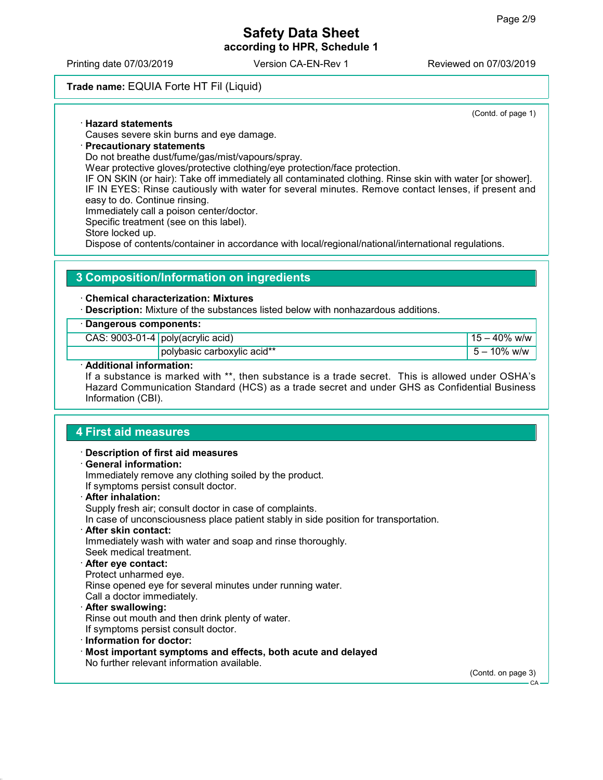### Safety Data Sheet according to HPR, Schedule 1

Printing date 07/03/2019 Version CA-EN-Rev 1 Reviewed on 07/03/2019

### Trade name: EQUIA Forte HT Fil (Liquid)

(Contd. of page 1)

### · Hazard statements

Causes severe skin burns and eye damage.

### · Precautionary statements

Do not breathe dust/fume/gas/mist/vapours/spray.

Wear protective gloves/protective clothing/eye protection/face protection.

IF ON SKIN (or hair): Take off immediately all contaminated clothing. Rinse skin with water [or shower]. IF IN EYES: Rinse cautiously with water for several minutes. Remove contact lenses, if present and

easy to do. Continue rinsing.

Immediately call a poison center/doctor.

Specific treatment (see on this label).

Store locked up.

Dispose of contents/container in accordance with local/regional/national/international regulations.

### 3 Composition/Information on ingredients

#### · Chemical characterization: Mixtures

· Description: Mixture of the substances listed below with nonhazardous additions.

| $\cdot$ Dangerous components: |                                     |                   |  |  |
|-------------------------------|-------------------------------------|-------------------|--|--|
|                               | CAS: $9003-01-4$ poly(acrylic acid) | $15 - 40\%$ w/w   |  |  |
|                               | polybasic carboxylic acid**         | $1\,5 - 10\%$ w/w |  |  |

#### Additional information:

If a substance is marked with \*\*, then substance is a trade secret. This is allowed under OSHA's Hazard Communication Standard (HCS) as a trade secret and under GHS as Confidential Business Information (CBI).

### 4 First aid measures

· Description of first aid measures · General information: Immediately remove any clothing soiled by the product. If symptoms persist consult doctor. · After inhalation: Supply fresh air; consult doctor in case of complaints. In case of unconsciousness place patient stably in side position for transportation. · After skin contact: Immediately wash with water and soap and rinse thoroughly. Seek medical treatment. After eye contact: Protect unharmed eye. Rinse opened eye for several minutes under running water. Call a doctor immediately. · After swallowing: Rinse out mouth and then drink plenty of water. If symptoms persist consult doctor. · Information for doctor: · Most important symptoms and effects, both acute and delayed No further relevant information available. (Contd. on page 3)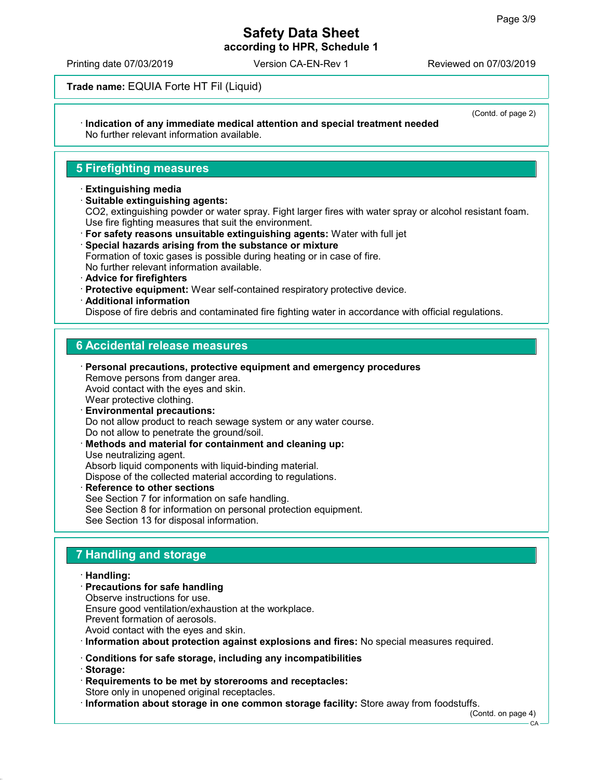(Contd. of page 2)

# Safety Data Sheet

according to HPR, Schedule 1

Printing date 07/03/2019 Version CA-EN-Rev 1 Reviewed on 07/03/2019

Trade name: EQUIA Forte HT Fil (Liquid)

#### · Indication of any immediate medical attention and special treatment needed No further relevant information available.

### 5 Firefighting measures

#### · Extinguishing media

· Suitable extinguishing agents:

CO2, extinguishing powder or water spray. Fight larger fires with water spray or alcohol resistant foam. Use fire fighting measures that suit the environment.

- · For safety reasons unsuitable extinguishing agents: Water with full jet
- · Special hazards arising from the substance or mixture Formation of toxic gases is possible during heating or in case of fire. No further relevant information available.
- · Advice for firefighters
- · Protective equipment: Wear self-contained respiratory protective device.
- · Additional information

Dispose of fire debris and contaminated fire fighting water in accordance with official regulations.

### 6 Accidental release measures

- · Personal precautions, protective equipment and emergency procedures Remove persons from danger area. Avoid contact with the eyes and skin. Wear protective clothing.
- · Environmental precautions: Do not allow product to reach sewage system or any water course. Do not allow to penetrate the ground/soil.
- Methods and material for containment and cleaning up: Use neutralizing agent. Absorb liquid components with liquid-binding material. Dispose of the collected material according to regulations.
- Reference to other sections See Section 7 for information on safe handling. See Section 8 for information on personal protection equipment. See Section 13 for disposal information.

### 7 Handling and storage

#### · Handling:

- · Precautions for safe handling Observe instructions for use. Ensure good ventilation/exhaustion at the workplace. Prevent formation of aerosols.
- Avoid contact with the eyes and skin.

· Information about protection against explosions and fires: No special measures required.

- · Conditions for safe storage, including any incompatibilities
- · Storage:
- · Requirements to be met by storerooms and receptacles: Store only in unopened original receptacles.

· Information about storage in one common storage facility: Store away from foodstuffs.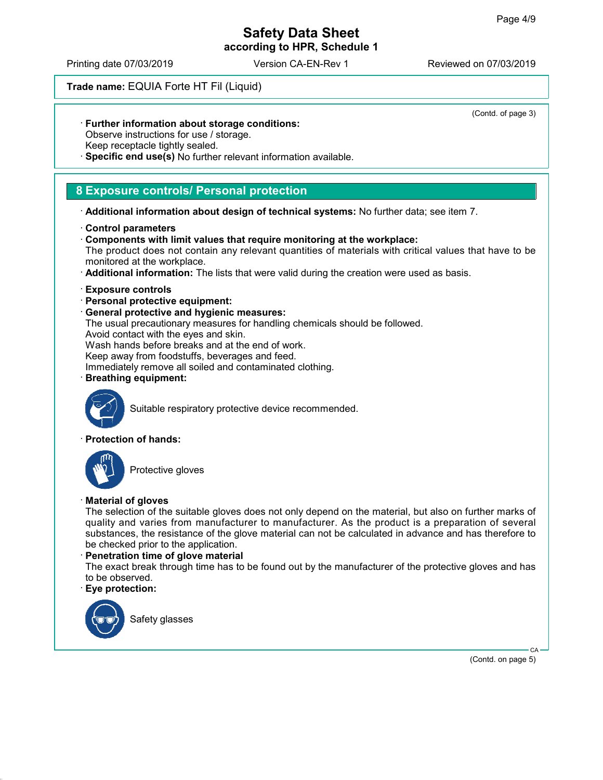### Safety Data Sheet according to HPR, Schedule 1

Printing date 07/03/2019 Version CA-EN-Rev 1 Reviewed on 07/03/2019

### Trade name: EQUIA Forte HT Fil (Liquid)

· Further information about storage conditions:

Observe instructions for use / storage.

Keep receptacle tightly sealed.

Specific end use(s) No further relevant information available.

### 8 Exposure controls/ Personal protection

· Additional information about design of technical systems: No further data; see item 7.

- · Control parameters
- · Components with limit values that require monitoring at the workplace: The product does not contain any relevant quantities of materials with critical values that have to be monitored at the workplace.
- · Additional information: The lists that were valid during the creation were used as basis.
- · Exposure controls
- · Personal protective equipment:
- · General protective and hygienic measures:

The usual precautionary measures for handling chemicals should be followed.

Avoid contact with the eyes and skin.

Wash hands before breaks and at the end of work.

Keep away from foodstuffs, beverages and feed.

Immediately remove all soiled and contaminated clothing.

· Breathing equipment:



Suitable respiratory protective device recommended.

### · Protection of hands:



Protective gloves

### · Material of gloves

The selection of the suitable gloves does not only depend on the material, but also on further marks of quality and varies from manufacturer to manufacturer. As the product is a preparation of several substances, the resistance of the glove material can not be calculated in advance and has therefore to be checked prior to the application.

### · Penetration time of glove material

The exact break through time has to be found out by the manufacturer of the protective gloves and has to be observed.

### · Eye protection:



Safety glasses

(Contd. of page 3)

(Contd. on page 5)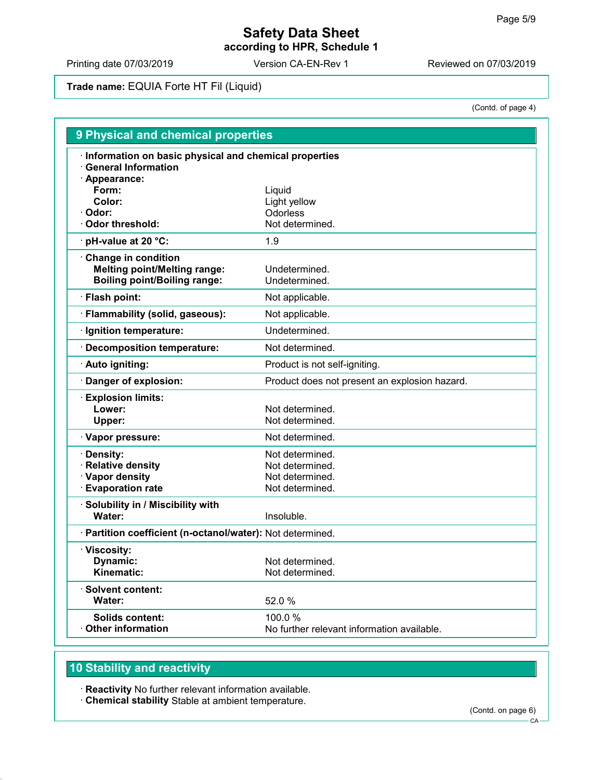### Safety Data Sheet according to HPR, Schedule 1

Printing date 07/03/2019 Version CA-EN-Rev 1 Printing date 07/03/2019

### Trade name: EQUIA Forte HT Fil (Liquid)

(Contd. of page 4)

| Information on basic physical and chemical properties<br><b>General Information</b><br>· Appearance:<br>Form:<br>Liquid<br>Color:<br>Light yellow<br>Odorless<br>· Odor:<br><b>⋅ Odor threshold:</b><br>Not determined.<br>pH-value at 20 °C:<br>1.9<br>Change in condition<br><b>Melting point/Melting range:</b><br>Undetermined.<br><b>Boiling point/Boiling range:</b><br>Undetermined.<br>· Flash point:<br>Not applicable.<br>· Flammability (solid, gaseous):<br>Not applicable.<br>· Ignition temperature:<br>Undetermined.<br>· Decomposition temperature:<br>Not determined.<br>· Auto igniting:<br>Product is not self-igniting.<br>Danger of explosion:<br>Product does not present an explosion hazard.<br><b>Explosion limits:</b><br>Lower:<br>Not determined.<br>Not determined.<br>Upper:<br>· Vapor pressure:<br>Not determined.<br>· Density:<br>Not determined.<br>· Relative density<br>Not determined.<br>· Vapor density<br>Not determined.<br><b>Evaporation rate</b><br>Not determined.<br>· Solubility in / Miscibility with<br>Water:<br>Insoluble.<br>· Partition coefficient (n-octanol/water): Not determined.<br>· Viscosity:<br>Dynamic:<br>Not determined.<br>Kinematic:<br>Not determined.<br>· Solvent content:<br>Water:<br>52.0 %<br>Solids content:<br>100.0 %<br>$\cdot$ Other information<br>No further relevant information available. | <b>9 Physical and chemical properties</b> |  |  |
|---------------------------------------------------------------------------------------------------------------------------------------------------------------------------------------------------------------------------------------------------------------------------------------------------------------------------------------------------------------------------------------------------------------------------------------------------------------------------------------------------------------------------------------------------------------------------------------------------------------------------------------------------------------------------------------------------------------------------------------------------------------------------------------------------------------------------------------------------------------------------------------------------------------------------------------------------------------------------------------------------------------------------------------------------------------------------------------------------------------------------------------------------------------------------------------------------------------------------------------------------------------------------------------------------------------------------------------------------------------------------------|-------------------------------------------|--|--|
|                                                                                                                                                                                                                                                                                                                                                                                                                                                                                                                                                                                                                                                                                                                                                                                                                                                                                                                                                                                                                                                                                                                                                                                                                                                                                                                                                                                 |                                           |  |  |
|                                                                                                                                                                                                                                                                                                                                                                                                                                                                                                                                                                                                                                                                                                                                                                                                                                                                                                                                                                                                                                                                                                                                                                                                                                                                                                                                                                                 |                                           |  |  |
|                                                                                                                                                                                                                                                                                                                                                                                                                                                                                                                                                                                                                                                                                                                                                                                                                                                                                                                                                                                                                                                                                                                                                                                                                                                                                                                                                                                 |                                           |  |  |
|                                                                                                                                                                                                                                                                                                                                                                                                                                                                                                                                                                                                                                                                                                                                                                                                                                                                                                                                                                                                                                                                                                                                                                                                                                                                                                                                                                                 |                                           |  |  |
|                                                                                                                                                                                                                                                                                                                                                                                                                                                                                                                                                                                                                                                                                                                                                                                                                                                                                                                                                                                                                                                                                                                                                                                                                                                                                                                                                                                 |                                           |  |  |
|                                                                                                                                                                                                                                                                                                                                                                                                                                                                                                                                                                                                                                                                                                                                                                                                                                                                                                                                                                                                                                                                                                                                                                                                                                                                                                                                                                                 |                                           |  |  |
|                                                                                                                                                                                                                                                                                                                                                                                                                                                                                                                                                                                                                                                                                                                                                                                                                                                                                                                                                                                                                                                                                                                                                                                                                                                                                                                                                                                 |                                           |  |  |
|                                                                                                                                                                                                                                                                                                                                                                                                                                                                                                                                                                                                                                                                                                                                                                                                                                                                                                                                                                                                                                                                                                                                                                                                                                                                                                                                                                                 |                                           |  |  |
|                                                                                                                                                                                                                                                                                                                                                                                                                                                                                                                                                                                                                                                                                                                                                                                                                                                                                                                                                                                                                                                                                                                                                                                                                                                                                                                                                                                 |                                           |  |  |
|                                                                                                                                                                                                                                                                                                                                                                                                                                                                                                                                                                                                                                                                                                                                                                                                                                                                                                                                                                                                                                                                                                                                                                                                                                                                                                                                                                                 |                                           |  |  |
|                                                                                                                                                                                                                                                                                                                                                                                                                                                                                                                                                                                                                                                                                                                                                                                                                                                                                                                                                                                                                                                                                                                                                                                                                                                                                                                                                                                 |                                           |  |  |
|                                                                                                                                                                                                                                                                                                                                                                                                                                                                                                                                                                                                                                                                                                                                                                                                                                                                                                                                                                                                                                                                                                                                                                                                                                                                                                                                                                                 |                                           |  |  |
|                                                                                                                                                                                                                                                                                                                                                                                                                                                                                                                                                                                                                                                                                                                                                                                                                                                                                                                                                                                                                                                                                                                                                                                                                                                                                                                                                                                 |                                           |  |  |
|                                                                                                                                                                                                                                                                                                                                                                                                                                                                                                                                                                                                                                                                                                                                                                                                                                                                                                                                                                                                                                                                                                                                                                                                                                                                                                                                                                                 |                                           |  |  |
|                                                                                                                                                                                                                                                                                                                                                                                                                                                                                                                                                                                                                                                                                                                                                                                                                                                                                                                                                                                                                                                                                                                                                                                                                                                                                                                                                                                 |                                           |  |  |
|                                                                                                                                                                                                                                                                                                                                                                                                                                                                                                                                                                                                                                                                                                                                                                                                                                                                                                                                                                                                                                                                                                                                                                                                                                                                                                                                                                                 |                                           |  |  |
|                                                                                                                                                                                                                                                                                                                                                                                                                                                                                                                                                                                                                                                                                                                                                                                                                                                                                                                                                                                                                                                                                                                                                                                                                                                                                                                                                                                 |                                           |  |  |
|                                                                                                                                                                                                                                                                                                                                                                                                                                                                                                                                                                                                                                                                                                                                                                                                                                                                                                                                                                                                                                                                                                                                                                                                                                                                                                                                                                                 |                                           |  |  |
|                                                                                                                                                                                                                                                                                                                                                                                                                                                                                                                                                                                                                                                                                                                                                                                                                                                                                                                                                                                                                                                                                                                                                                                                                                                                                                                                                                                 |                                           |  |  |
|                                                                                                                                                                                                                                                                                                                                                                                                                                                                                                                                                                                                                                                                                                                                                                                                                                                                                                                                                                                                                                                                                                                                                                                                                                                                                                                                                                                 |                                           |  |  |
|                                                                                                                                                                                                                                                                                                                                                                                                                                                                                                                                                                                                                                                                                                                                                                                                                                                                                                                                                                                                                                                                                                                                                                                                                                                                                                                                                                                 |                                           |  |  |
|                                                                                                                                                                                                                                                                                                                                                                                                                                                                                                                                                                                                                                                                                                                                                                                                                                                                                                                                                                                                                                                                                                                                                                                                                                                                                                                                                                                 |                                           |  |  |
|                                                                                                                                                                                                                                                                                                                                                                                                                                                                                                                                                                                                                                                                                                                                                                                                                                                                                                                                                                                                                                                                                                                                                                                                                                                                                                                                                                                 |                                           |  |  |
|                                                                                                                                                                                                                                                                                                                                                                                                                                                                                                                                                                                                                                                                                                                                                                                                                                                                                                                                                                                                                                                                                                                                                                                                                                                                                                                                                                                 |                                           |  |  |
|                                                                                                                                                                                                                                                                                                                                                                                                                                                                                                                                                                                                                                                                                                                                                                                                                                                                                                                                                                                                                                                                                                                                                                                                                                                                                                                                                                                 |                                           |  |  |
|                                                                                                                                                                                                                                                                                                                                                                                                                                                                                                                                                                                                                                                                                                                                                                                                                                                                                                                                                                                                                                                                                                                                                                                                                                                                                                                                                                                 |                                           |  |  |
|                                                                                                                                                                                                                                                                                                                                                                                                                                                                                                                                                                                                                                                                                                                                                                                                                                                                                                                                                                                                                                                                                                                                                                                                                                                                                                                                                                                 |                                           |  |  |
|                                                                                                                                                                                                                                                                                                                                                                                                                                                                                                                                                                                                                                                                                                                                                                                                                                                                                                                                                                                                                                                                                                                                                                                                                                                                                                                                                                                 |                                           |  |  |
|                                                                                                                                                                                                                                                                                                                                                                                                                                                                                                                                                                                                                                                                                                                                                                                                                                                                                                                                                                                                                                                                                                                                                                                                                                                                                                                                                                                 |                                           |  |  |
|                                                                                                                                                                                                                                                                                                                                                                                                                                                                                                                                                                                                                                                                                                                                                                                                                                                                                                                                                                                                                                                                                                                                                                                                                                                                                                                                                                                 |                                           |  |  |

## 10 Stability and reactivity

· Reactivity No further relevant information available.

· Chemical stability Stable at ambient temperature.

(Contd. on page 6)

CA-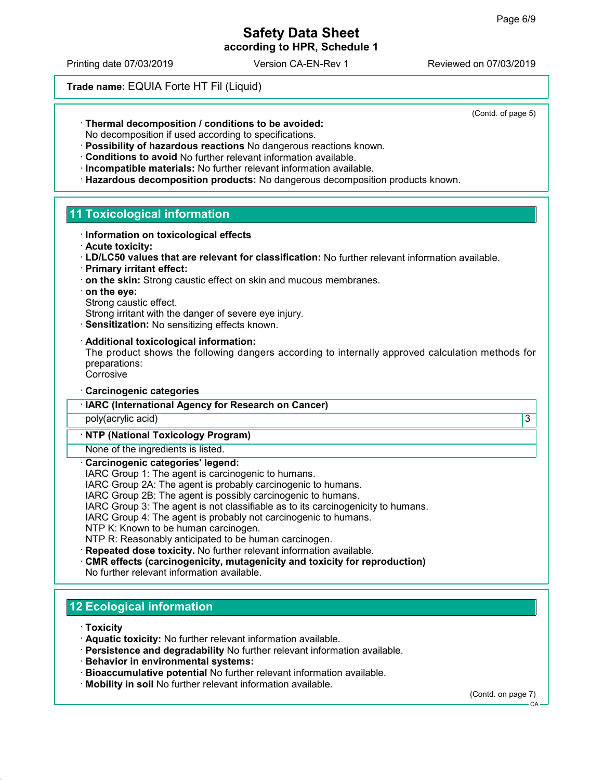according to HPR, Schedule 1

Printing date 07/03/2019 Version CA-EN-Rev 1 Reviewed on 07/03/2019

(Contd. of page 5)

Trade name: EQUIA Forte HT Fil (Liquid)

· Thermal decomposition / conditions to be avoided:

No decomposition if used according to specifications.

- · Possibility of hazardous reactions No dangerous reactions known.
- · Conditions to avoid No further relevant information available.
- · Incompatible materials: No further relevant information available.
- · Hazardous decomposition products: No dangerous decomposition products known.

### 11 Toxicological information

- · Information on toxicological effects
- · Acute toxicity:
- · LD/LC50 values that are relevant for classification: No further relevant information available.
- · Primary irritant effect:
- · on the skin: Strong caustic effect on skin and mucous membranes.
- · on the eye:
- Strong caustic effect.

Strong irritant with the danger of severe eye injury.

· Sensitization: No sensitizing effects known.

#### · Additional toxicological information:

The product shows the following dangers according to internally approved calculation methods for preparations:

**Corrosive** 

- · Carcinogenic categories
- · IARC (International Agency for Research on Cancer)

poly(acrylic acid) 3

#### · NTP (National Toxicology Program)

None of the ingredients is listed.

#### Carcinogenic categories' legend:

IARC Group 1: The agent is carcinogenic to humans.

IARC Group 2A: The agent is probably carcinogenic to humans.

IARC Group 2B: The agent is possibly carcinogenic to humans.

IARC Group 3: The agent is not classifiable as to its carcinogenicity to humans.

IARC Group 4: The agent is probably not carcinogenic to humans.

NTP K: Known to be human carcinogen.

NTP R: Reasonably anticipated to be human carcinogen.

· Repeated dose toxicity. No further relevant information available.

· CMR effects (carcinogenicity, mutagenicity and toxicity for reproduction)

No further relevant information available.

### 12 Ecological information

· Toxicity

- · Aquatic toxicity: No further relevant information available.
- · Persistence and degradability No further relevant information available.
- · Behavior in environmental systems:
- · Bioaccumulative potential No further relevant information available.
- · Mobility in soil No further relevant information available.

(Contd. on page 7)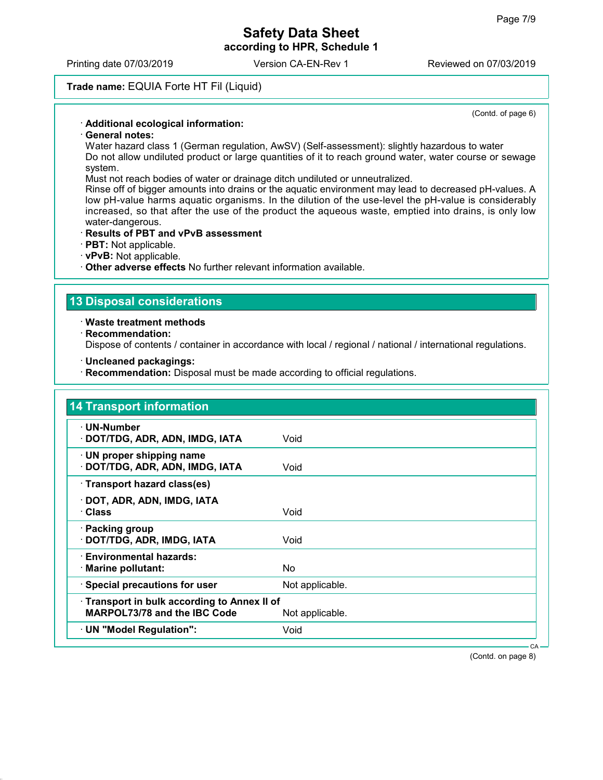according to HPR, Schedule 1

Printing date 07/03/2019 Version CA-EN-Rev 1 Reviewed on 07/03/2019

### Trade name: EQUIA Forte HT Fil (Liquid)

(Contd. of page 6)

### · Additional ecological information:

### · General notes:

Water hazard class 1 (German regulation, AwSV) (Self-assessment): slightly hazardous to water Do not allow undiluted product or large quantities of it to reach ground water, water course or sewage system.

Must not reach bodies of water or drainage ditch undiluted or unneutralized.

Rinse off of bigger amounts into drains or the aquatic environment may lead to decreased pH-values. A low pH-value harms aquatic organisms. In the dilution of the use-level the pH-value is considerably increased, so that after the use of the product the aqueous waste, emptied into drains, is only low water-dangerous.

#### · Results of PBT and vPvB assessment

- · PBT: Not applicable.
- · vPvB: Not applicable.
- · Other adverse effects No further relevant information available.

### 13 Disposal considerations

#### · Waste treatment methods

· Recommendation:

Dispose of contents / container in accordance with local / regional / national / international regulations.

- · Uncleaned packagings:
- · Recommendation: Disposal must be made according to official regulations.

| · UN-Number                                |                 |  |
|--------------------------------------------|-----------------|--|
| · DOT/TDG, ADR, ADN, IMDG, IATA            | Void            |  |
| $\cdot$ UN proper shipping name            |                 |  |
| · DOT/TDG, ADR, ADN, IMDG, IATA            | Void            |  |
| · Transport hazard class(es)               |                 |  |
| · DOT, ADR, ADN, IMDG, IATA                |                 |  |
| · Class                                    | Void            |  |
| · Packing group                            |                 |  |
| · DOT/TDG, ADR, IMDG, IATA                 | Void            |  |
| · Environmental hazards:                   |                 |  |
| · Marine pollutant:                        | No.             |  |
| · Special precautions for user             | Not applicable. |  |
| Transport in bulk according to Annex II of |                 |  |
| <b>MARPOL73/78 and the IBC Code</b>        | Not applicable. |  |
| · UN "Model Regulation":                   | Void            |  |

(Contd. on page 8)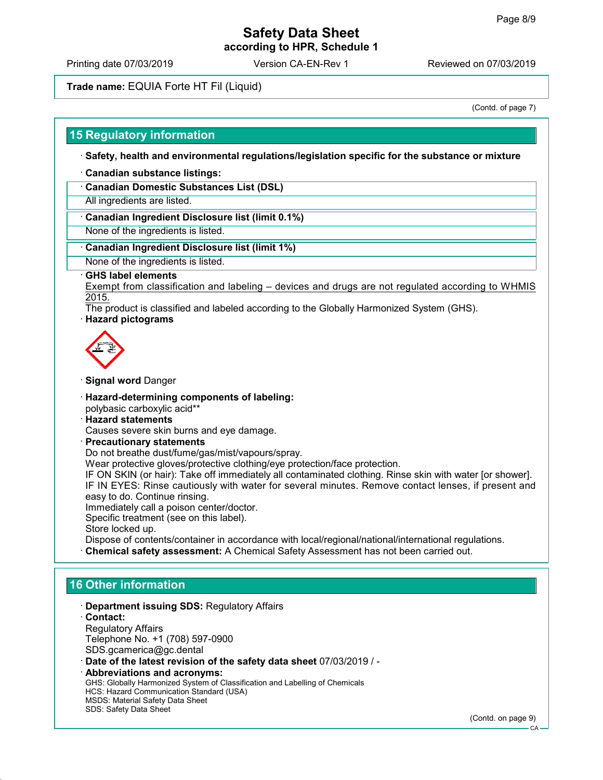according to HPR, Schedule 1

Printing date 07/03/2019 Version CA-EN-Rev 1 Reviewed on 07/03/2019

### Trade name: EQUIA Forte HT Fil (Liquid)

(Contd. of page 7)

#### 15 Regulatory information

· Safety, health and environmental regulations/legislation specific for the substance or mixture

- · Canadian substance listings:
- · Canadian Domestic Substances List (DSL)

All ingredients are listed.

#### · Canadian Ingredient Disclosure list (limit 0.1%)

None of the ingredients is listed.

#### · Canadian Ingredient Disclosure list (limit 1%)

None of the ingredients is listed.

#### · GHS label elements

Exempt from classification and labeling – devices and drugs are not regulated according to WHMIS 2015.

The product is classified and labeled according to the Globally Harmonized System (GHS).

#### · Hazard pictograms



- · Signal word Danger
- · Hazard-determining components of labeling: polybasic carboxylic acid\*\*
- · Hazard statements
- Causes severe skin burns and eye damage.
- · Precautionary statements Do not breathe dust/fume/gas/mist/vapours/spray. Wear protective gloves/protective clothing/eye protection/face protection. IF ON SKIN (or hair): Take off immediately all contaminated clothing. Rinse skin with water [or shower]. IF IN EYES: Rinse cautiously with water for several minutes. Remove contact lenses, if present and easy to do. Continue rinsing. Immediately call a poison center/doctor. Specific treatment (see on this label). Store locked up. Dispose of contents/container in accordance with local/regional/national/international regulations. · Chemical safety assessment: A Chemical Safety Assessment has not been carried out.

### 16 Other information

| Department issuing SDS: Regulatory Affairs                                   |              |
|------------------------------------------------------------------------------|--------------|
| $\cdot$ Contact:                                                             |              |
| <b>Regulatory Affairs</b>                                                    |              |
| Telephone No. +1 (708) 597-0900                                              |              |
| SDS.gcamerica@gc.dental                                                      |              |
| Date of the latest revision of the safety data sheet 07/03/2019 / -          |              |
| · Abbreviations and acronyms:                                                |              |
| GHS: Globally Harmonized System of Classification and Labelling of Chemicals |              |
| HCS: Hazard Communication Standard (USA)                                     |              |
| <b>MSDS: Material Safety Data Sheet</b>                                      |              |
| <b>SDS: Safety Data Sheet</b>                                                | (Contd. on n |

page 9)